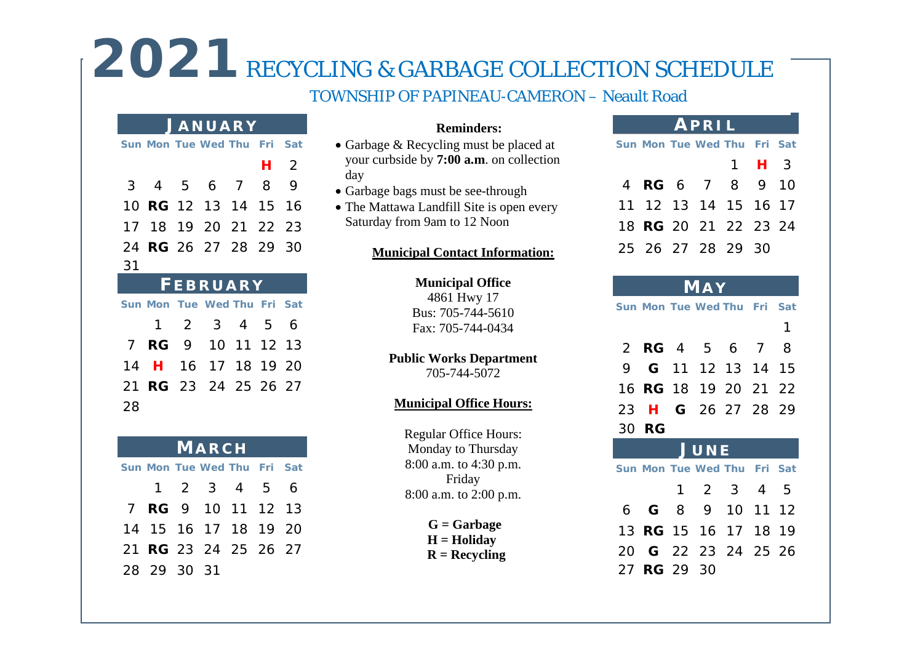## 2021 RECYCLING & GARBAGE COLLECTION SCHEDULE

### TOWNSHIP OF PAPINEAU-CAMERON – Neault Road

### **J ANUARY**

|    |    | Sun Mon Tue Wed Thu Fri Sat |                |     |
|----|----|-----------------------------|----------------|-----|
|    |    |                             | H <sub>2</sub> |     |
| 3  |    | 4 5 6 7 8                   |                | - 9 |
|    |    | 10 <b>RG</b> 12 13 14 15 16 |                |     |
|    |    | 17 18 19 20 21 22 23        |                |     |
|    |    | 24 <b>RG</b> 26 27 28 29 30 |                |     |
| 31 |    |                             |                |     |
|    |    |                             |                |     |
|    |    | <b>FEBRUARY</b>             |                |     |
|    |    | Sun Mon Tue Wed Thu Fri Sat |                |     |
|    | 1. | 2 3 4 5 6                   |                |     |
|    |    | 7 RG 9 10 11 12 13          |                |     |
|    |    | 14 H 16 17 18 19 20         |                |     |
|    |    | 21 RG 23 24 25 26 27        |                |     |

### **MARCH Sun Mon Tue Wed Thu Fri Sat** 1 2 3 4 5 6 7 **RG** 9 10 11 12 13 14 15 16 17 18 19 20 21 **RG** 23 24 25 26 27 28 29 30 31

### **Reminders:**

- Garbage & Recycling must be placed at your curbside by **7:00 a.m**. on collection day
- Garbage bags must be see-through
- The Mattawa Landfill Site is open every Saturday from 9am to 12 Noon

### **Municipal Contact Information:**

### **Municipal Office**

4861 Hwy 17 Bus: 705-744-5610 Fax: 705-744-0434

### **Public Works Department**

705-744-5072

### **Municipal Office Hours:**

Regular Office Hours: Monday to Thursday 8:00 a.m. to 4:30 p.m. Friday 8:00 a.m. to 2:00 p.m.

> **G = Garbage H = Holiday R = Recycling**

### **APRIL**

|  | Sun Mon Tue Wed Thu Fri Sat |           |  |
|--|-----------------------------|-----------|--|
|  |                             | $1$ H $3$ |  |
|  | 4 <b>RG</b> 6 7 8 9 10      |           |  |
|  | 11 12 13 14 15 16 17        |           |  |
|  | 18 <b>RG</b> 20 21 22 23 24 |           |  |
|  | 25 26 27 28 29 30           |           |  |

### **MA Y**

27 **RG** 29 30